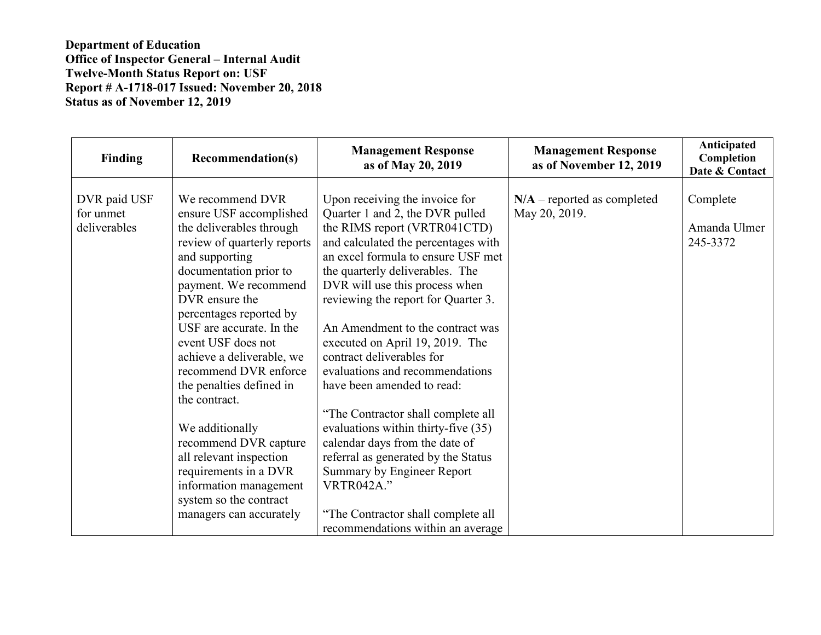| Finding                                   | <b>Recommendation(s)</b>                                                                                                                                                                                                                                                                                                                                                                                                                                                                                                                                     | <b>Management Response</b><br>as of May 20, 2019                                                                                                                                                                                                                                                                                                                                                                                                                                                                                                                                                                                                                                                                                                    | <b>Management Response</b><br>as of November 12, 2019 | Anticipated<br>Completion<br>Date & Contact |
|-------------------------------------------|--------------------------------------------------------------------------------------------------------------------------------------------------------------------------------------------------------------------------------------------------------------------------------------------------------------------------------------------------------------------------------------------------------------------------------------------------------------------------------------------------------------------------------------------------------------|-----------------------------------------------------------------------------------------------------------------------------------------------------------------------------------------------------------------------------------------------------------------------------------------------------------------------------------------------------------------------------------------------------------------------------------------------------------------------------------------------------------------------------------------------------------------------------------------------------------------------------------------------------------------------------------------------------------------------------------------------------|-------------------------------------------------------|---------------------------------------------|
| DVR paid USF<br>for unmet<br>deliverables | We recommend DVR<br>ensure USF accomplished<br>the deliverables through<br>review of quarterly reports<br>and supporting<br>documentation prior to<br>payment. We recommend<br>DVR ensure the<br>percentages reported by<br>USF are accurate. In the<br>event USF does not<br>achieve a deliverable, we<br>recommend DVR enforce<br>the penalties defined in<br>the contract.<br>We additionally<br>recommend DVR capture<br>all relevant inspection<br>requirements in a DVR<br>information management<br>system so the contract<br>managers can accurately | Upon receiving the invoice for<br>Quarter 1 and 2, the DVR pulled<br>the RIMS report (VRTR041CTD)<br>and calculated the percentages with<br>an excel formula to ensure USF met<br>the quarterly deliverables. The<br>DVR will use this process when<br>reviewing the report for Quarter 3.<br>An Amendment to the contract was<br>executed on April 19, 2019. The<br>contract deliverables for<br>evaluations and recommendations<br>have been amended to read:<br>"The Contractor shall complete all<br>evaluations within thirty-five (35)<br>calendar days from the date of<br>referral as generated by the Status<br>Summary by Engineer Report<br><b>VRTR042A."</b><br>"The Contractor shall complete all<br>recommendations within an average | $N/A$ – reported as completed<br>May 20, 2019.        | Complete<br>Amanda Ulmer<br>245-3372        |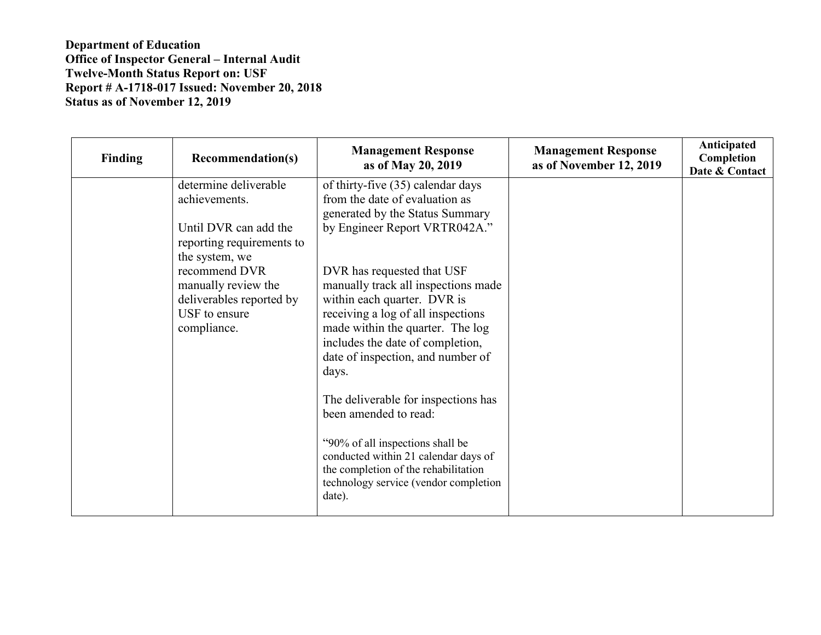| <b>Finding</b> | <b>Recommendation(s)</b>                                                                                           | <b>Management Response</b><br>as of May 20, 2019                                                                                                                                                                                                             | <b>Management Response</b><br>as of November 12, 2019 | Anticipated<br>Completion<br>Date & Contact |
|----------------|--------------------------------------------------------------------------------------------------------------------|--------------------------------------------------------------------------------------------------------------------------------------------------------------------------------------------------------------------------------------------------------------|-------------------------------------------------------|---------------------------------------------|
|                | determine deliverable<br>achievements.<br>Until DVR can add the<br>reporting requirements to                       | of thirty-five (35) calendar days<br>from the date of evaluation as<br>generated by the Status Summary<br>by Engineer Report VRTR042A."                                                                                                                      |                                                       |                                             |
|                | the system, we<br>recommend DVR<br>manually review the<br>deliverables reported by<br>USF to ensure<br>compliance. | DVR has requested that USF<br>manually track all inspections made<br>within each quarter. DVR is<br>receiving a log of all inspections<br>made within the quarter. The log<br>includes the date of completion,<br>date of inspection, and number of<br>days. |                                                       |                                             |
|                |                                                                                                                    | The deliverable for inspections has<br>been amended to read:                                                                                                                                                                                                 |                                                       |                                             |
|                |                                                                                                                    | "90% of all inspections shall be<br>conducted within 21 calendar days of<br>the completion of the rehabilitation<br>technology service (vendor completion<br>date).                                                                                          |                                                       |                                             |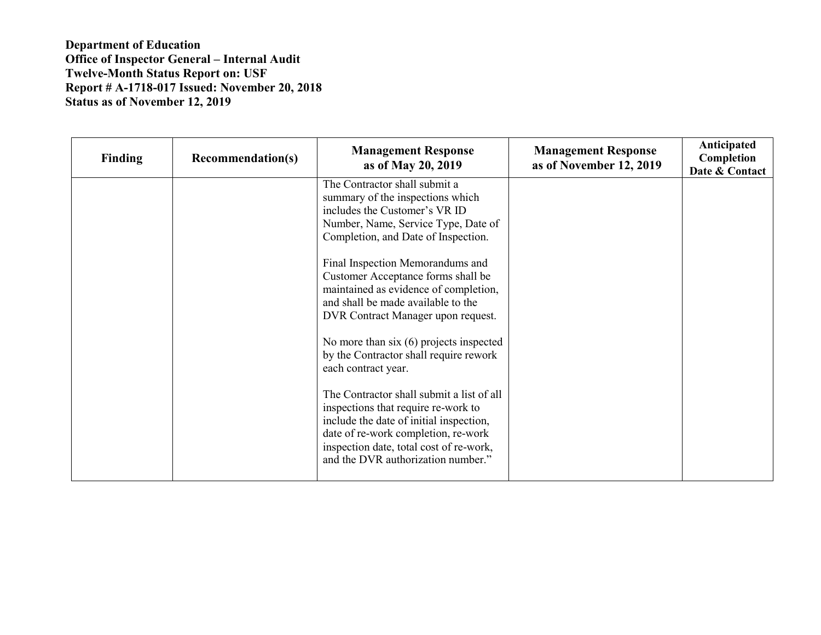| <b>Finding</b> | <b>Recommendation(s)</b> | <b>Management Response</b><br>as of May 20, 2019                                                                                                                                                                                                    | <b>Management Response</b><br>as of November 12, 2019 | Anticipated<br>Completion<br>Date & Contact |
|----------------|--------------------------|-----------------------------------------------------------------------------------------------------------------------------------------------------------------------------------------------------------------------------------------------------|-------------------------------------------------------|---------------------------------------------|
|                |                          | The Contractor shall submit a<br>summary of the inspections which<br>includes the Customer's VR ID<br>Number, Name, Service Type, Date of<br>Completion, and Date of Inspection.                                                                    |                                                       |                                             |
|                |                          | Final Inspection Memorandums and<br>Customer Acceptance forms shall be<br>maintained as evidence of completion,<br>and shall be made available to the<br>DVR Contract Manager upon request.                                                         |                                                       |                                             |
|                |                          | No more than $six(6)$ projects inspected<br>by the Contractor shall require rework<br>each contract year.                                                                                                                                           |                                                       |                                             |
|                |                          | The Contractor shall submit a list of all<br>inspections that require re-work to<br>include the date of initial inspection,<br>date of re-work completion, re-work<br>inspection date, total cost of re-work,<br>and the DVR authorization number." |                                                       |                                             |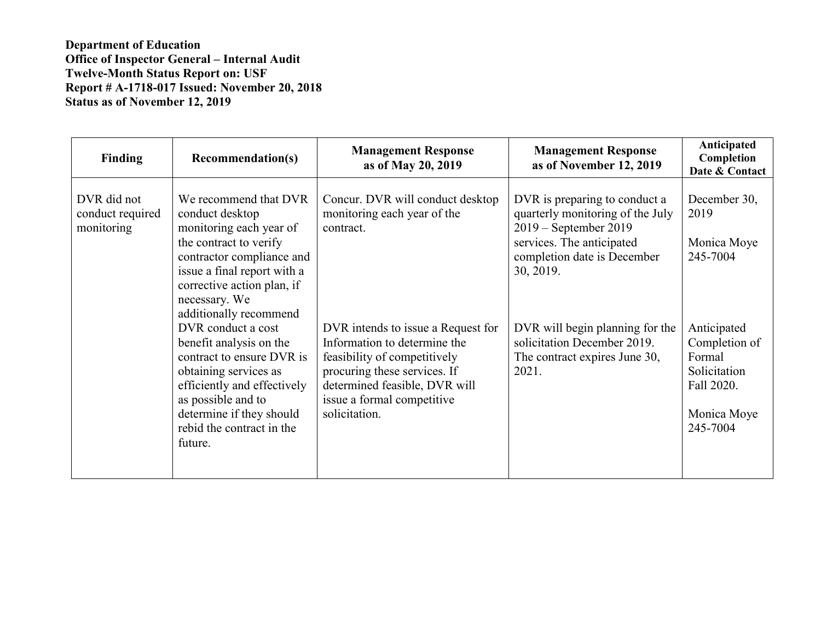| <b>Finding</b>                                | <b>Recommendation(s)</b>                                                                                                                                                                                                                               | <b>Management Response</b><br>as of May 20, 2019                                                                                                                                                                   | <b>Management Response</b><br>as of November 12, 2019                                                                                                               | Anticipated<br>Completion<br>Date & Contact                                                     |
|-----------------------------------------------|--------------------------------------------------------------------------------------------------------------------------------------------------------------------------------------------------------------------------------------------------------|--------------------------------------------------------------------------------------------------------------------------------------------------------------------------------------------------------------------|---------------------------------------------------------------------------------------------------------------------------------------------------------------------|-------------------------------------------------------------------------------------------------|
| DVR did not<br>conduct required<br>monitoring | We recommend that DVR<br>conduct desktop<br>monitoring each year of<br>the contract to verify<br>contractor compliance and<br>issue a final report with a<br>corrective action plan, if<br>necessary. We                                               | Concur. DVR will conduct desktop<br>monitoring each year of the<br>contract.                                                                                                                                       | DVR is preparing to conduct a<br>quarterly monitoring of the July<br>2019 – September 2019<br>services. The anticipated<br>completion date is December<br>30, 2019. | December 30,<br>2019<br>Monica Moye<br>245-7004                                                 |
|                                               | additionally recommend<br>DVR conduct a cost<br>benefit analysis on the<br>contract to ensure DVR is<br>obtaining services as<br>efficiently and effectively<br>as possible and to<br>determine if they should<br>rebid the contract in the<br>future. | DVR intends to issue a Request for<br>Information to determine the<br>feasibility of competitively<br>procuring these services. If<br>determined feasible, DVR will<br>issue a formal competitive<br>solicitation. | DVR will begin planning for the<br>solicitation December 2019.<br>The contract expires June 30,<br>2021.                                                            | Anticipated<br>Completion of<br>Formal<br>Solicitation<br>Fall 2020.<br>Monica Moye<br>245-7004 |